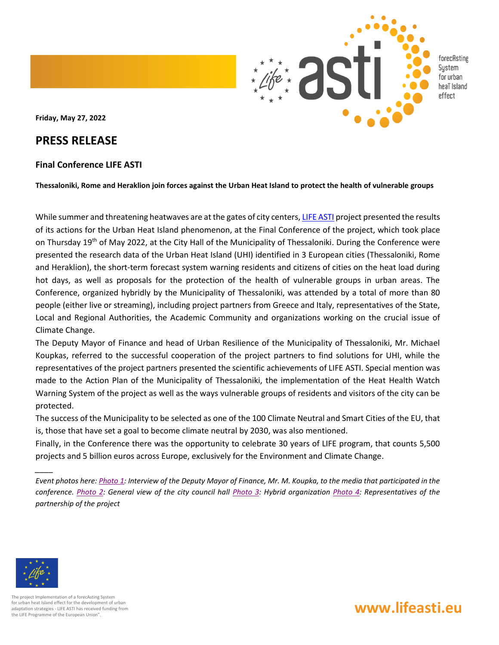

**Friday, May 27, 2022**

## **PRESS RELEASE**

## **Final Conference LIFE ASTI**

Thessaloniki, Rome and Heraklion join forces against the Urban Heat Island to protect the health of vulnerable groups

While summer and threatening heatwaves are at the gates of city centers[, LIFE ASTI](https://lifeasti.eu/el/arxikh/) project presented the results of its actions for the Urban Heat Island phenomenon, at the Final Conference of the project, which took place on Thursday 19<sup>th</sup> of May 2022, at the City Hall of the Municipality of Thessaloniki. During the Conference were presented the research data of the Urban Heat Island (UHI) identified in 3 European cities (Thessaloniki, Rome and Heraklion), the short-term forecast system warning residents and citizens of cities on the heat load during hot days, as well as proposals for the protection of the health of vulnerable groups in urban areas. The Conference, organized hybridly by the Municipality of Thessaloniki, was attended by a total of more than 80 people (either live or streaming), including project partners from Greece and Italy, representatives of the State, Local and Regional Authorities, the Academic Community and organizations working on the crucial issue of Climate Change.

The Deputy Mayor of Finance and head of Urban Resilience of the Municipality of Thessaloniki, Mr. Michael Koupkas, referred to the successful cooperation of the project partners to find solutions for UHI, while the representatives of the project partners presented the scientific achievements of LIFE ASTI. Special mention was made to the Action Plan of the Municipality of Thessaloniki, the implementation of the Heat Health Watch Warning System of the project as well as the ways vulnerable groups of residents and visitors of the city can be protected.

The success of the Municipality to be selected as one of the 100 Climate Neutral and Smart Cities of the EU, that is, those that have set a goal to become climate neutral by 2030, was also mentioned.

Finally, in the Conference there was the opportunity to celebrate 30 years of LIFE program, that counts 5,500 projects and 5 billion euros across Europe, exclusively for the Environment and Climate Change.

*Event photos here[: Photo](https://photos.google.com/share/AF1QipOUNWm54VA-g7jqFgzOP-QWbAxvzA8EYPNgAjMo3ma9WpGv8p0pEWBHiyTY6DhJpQ/photo/AF1QipPF4FKUdezcHGPofvqZnElrgNnm9du7K6czD4qg?key=dG9VNHhRdm94UGVFOVVLbk8weDFDcEV6bkF5SXRR) 1: Interview of the Deputy Mayor of Finance, Mr. M. Koupka, to the media that participated in the conference. [Photo](https://photos.google.com/share/AF1QipOUNWm54VA-g7jqFgzOP-QWbAxvzA8EYPNgAjMo3ma9WpGv8p0pEWBHiyTY6DhJpQ/photo/AF1QipPUv1LPLb-EpSVVOKQh3np_5WXpmMC2qc5A8o1s?key=dG9VNHhRdm94UGVFOVVLbk8weDFDcEV6bkF5SXRR) 2: General view of the city council hall [Photo](https://photos.google.com/share/AF1QipOUNWm54VA-g7jqFgzOP-QWbAxvzA8EYPNgAjMo3ma9WpGv8p0pEWBHiyTY6DhJpQ/photo/AF1QipOwLF9QIVNkUufm1pnXehugROsgYzRRII196pf1?key=dG9VNHhRdm94UGVFOVVLbk8weDFDcEV6bkF5SXRR) 3: Hybrid organization [Photo](https://photos.google.com/share/AF1QipOUNWm54VA-g7jqFgzOP-QWbAxvzA8EYPNgAjMo3ma9WpGv8p0pEWBHiyTY6DhJpQ/photo/AF1QipPYbr7KD_nQBV3SmdiKSo3A3Lgm4bK9cuIbAsDu?key=dG9VNHhRdm94UGVFOVVLbk8weDFDcEV6bkF5SXRR) 4: Representatives of the partnership of the project* 



*\_\_\_\_*

The project Implementation of a forecAsting System for urban heat Island effect for the development of urban adaptation strategies - LIFE ASTI has received funding from the LIFE Programme of the European Union".

## **www.lifeasti.eu**